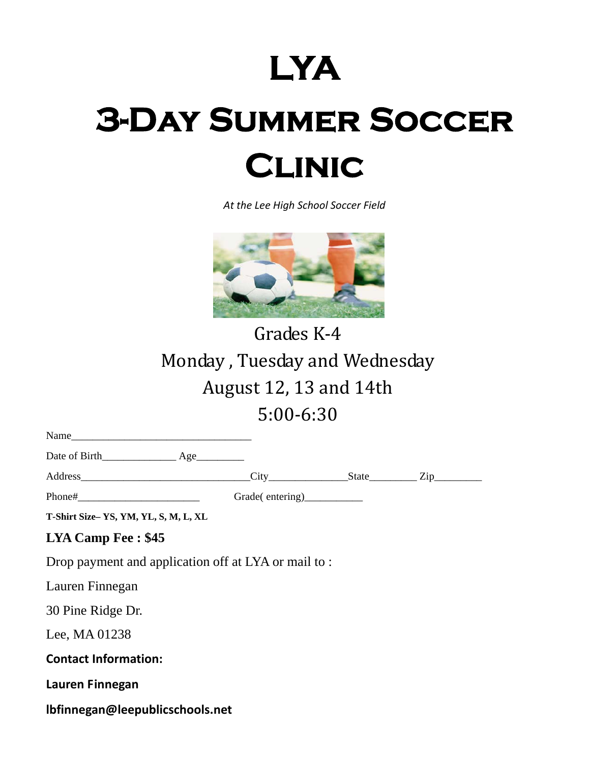## **LYA 3-Day Summer Soccer Clinic**

*At the Lee High School Soccer Field*



Grades K-4 Monday, Tuesday and Wednesday August 12, 13 and 14th 5:00‐6:30 

| T-Shirt Size-YS, YM, YL, S, M, L, XL                 |  |  |
|------------------------------------------------------|--|--|
| <b>LYA Camp Fee: \$45</b>                            |  |  |
| Drop payment and application off at LYA or mail to : |  |  |
| Lauren Finnegan                                      |  |  |
| 30 Pine Ridge Dr.                                    |  |  |
| Lee, MA 01238                                        |  |  |
| <b>Contact Information:</b>                          |  |  |
| Lauren Finnegan                                      |  |  |
| lbfinnegan@leepublicschools.net                      |  |  |